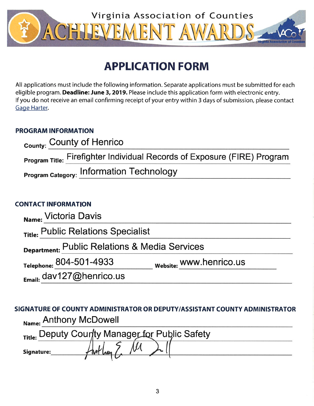

# **APPLICATION FORM**

All applications must include the following information. Separate applications must be submitted for each eligible program. Deadline: June 3, 2019. Please include this application form with electronic entry. If you do not receive an email confirming receipt of your entry within 3 days of submission, please contact Gage Harter.

## **PROGRAM INFORMATION**

| <sub>County:</sub> County of Henrico                                     |
|--------------------------------------------------------------------------|
| Program Title: Firefighter Individual Records of Exposure (FIRE) Program |
| <b>Program Category: Information Technology</b>                          |

## **CONTACT INFORMATION**

| Name: Victoria Davis                          |                         |  |  |  |  |
|-----------------------------------------------|-------------------------|--|--|--|--|
| Title: Public Relations Specialist            |                         |  |  |  |  |
| Department: Public Relations & Media Services |                         |  |  |  |  |
| Telephone: 804-501-4933                       | Website: WWW.henrico.us |  |  |  |  |
| Email: dav127@henrico.us                      |                         |  |  |  |  |

SIGNATURE OF COUNTY ADMINISTRATOR OR DEPUTY/ASSISTANT COUNTY ADMINISTRATOR Name: Anthony McDowell

| Title: Deputy County Manager for Public Safety |  |  |  |
|------------------------------------------------|--|--|--|
| Signature:                                     |  |  |  |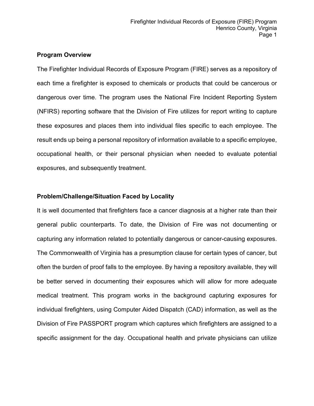#### **Program Overview**

The Firefighter Individual Records of Exposure Program (FIRE) serves as a repository of each time a firefighter is exposed to chemicals or products that could be cancerous or dangerous over time. The program uses the National Fire Incident Reporting System (NFIRS) reporting software that the Division of Fire utilizes for report writing to capture these exposures and places them into individual files specific to each employee. The result ends up being a personal repository of information available to a specific employee, occupational health, or their personal physician when needed to evaluate potential exposures, and subsequently treatment.

#### **Problem/Challenge/Situation Faced by Locality**

It is well documented that firefighters face a cancer diagnosis at a higher rate than their general public counterparts. To date, the Division of Fire was not documenting or capturing any information related to potentially dangerous or cancer-causing exposures. The Commonwealth of Virginia has a presumption clause for certain types of cancer, but often the burden of proof falls to the employee. By having a repository available, they will be better served in documenting their exposures which will allow for more adequate medical treatment. This program works in the background capturing exposures for individual firefighters, using Computer Aided Dispatch (CAD) information, as well as the Division of Fire PASSPORT program which captures which firefighters are assigned to a specific assignment for the day. Occupational health and private physicians can utilize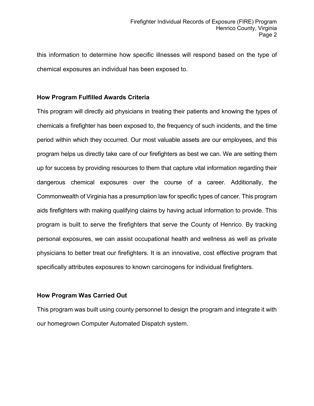this information to determine how specific illnesses will respond based on the type of chemical exposures an individual has been exposed to.

#### **How Program Fulfilled Awards Criteria**

This program will directly aid physicians in treating their patients and knowing the types of chemicals a firefighter has been exposed to, the frequency of such incidents, and the time period within which they occurred. Our most valuable assets are our employees, and this program helps us directly take care of our firefighters as best we can. We are setting them up for success by providing resources to them that capture vital information regarding their dangerous chemical exposures over the course of a career. Additionally, the Commonwealth of Virginia has a presumption law for specific types of cancer. This program aids firefighters with making qualifying claims by having actual information to provide. This program is built to serve the firefighters that serve the County of Henrico. By tracking personal exposures, we can assist occupational health and wellness as well as private physicians to better treat our firefighters. It is an innovative, cost effective program that specifically attributes exposures to known carcinogens for individual firefighters.

### **How Program Was Carried Out**

This program was built using county personnel to design the program and integrate it with our homegrown Computer Automated Dispatch system.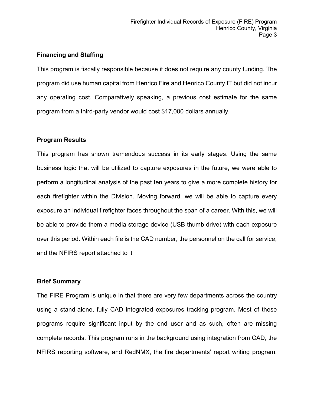#### **Financing and Staffing**

This program is fiscally responsible because it does not require any county funding. The program did use human capital from Henrico Fire and Henrico County IT but did not incur any operating cost. Comparatively speaking, a previous cost estimate for the same program from a third-party vendor would cost \$17,000 dollars annually.

#### **Program Results**

This program has shown tremendous success in its early stages. Using the same business logic that will be utilized to capture exposures in the future, we were able to perform a longitudinal analysis of the past ten years to give a more complete history for each firefighter within the Division. Moving forward, we will be able to capture every exposure an individual firefighter faces throughout the span of a career. With this, we will be able to provide them a media storage device (USB thumb drive) with each exposure over this period. Within each file is the CAD number, the personnel on the call for service, and the NFIRS report attached to it

#### **Brief Summary**

The FIRE Program is unique in that there are very few departments across the country using a stand-alone, fully CAD integrated exposures tracking program. Most of these programs require significant input by the end user and as such, often are missing complete records. This program runs in the background using integration from CAD, the NFIRS reporting software, and RedNMX, the fire departments' report writing program.